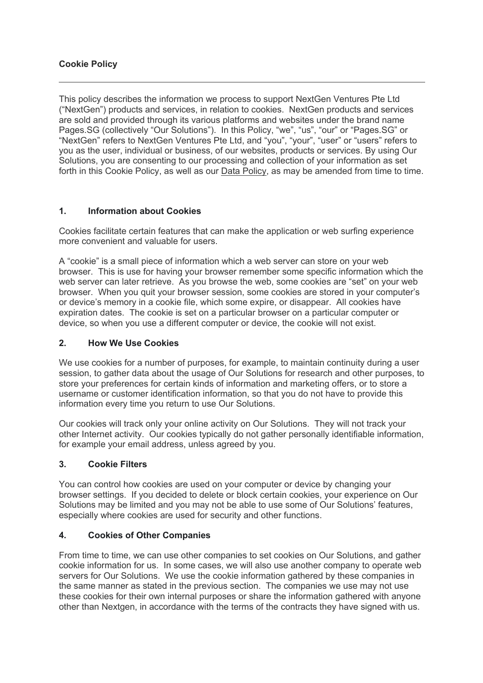## **Cookie Policy**

This policy describes the information we process to support NextGen Ventures Pte Ltd ("NextGen") products and services, in relation to cookies. NextGen products and services are sold and provided through its various platforms and websites under the brand name Pages.SG (collectively "Our Solutions"). In this Policy, "we", "us", "our" or "Pages.SG" or "NextGen" refers to NextGen Ventures Pte Ltd, and "you", "your", "user" or "users" refers to you as the user, individual or business, of our websites, products or services. By using Our Solutions, you are consenting to our processing and collection of your information as set forth in this Cookie Policy, as well as our Data Policy, as may be amended from time to time.

## **1. Information about Cookies**

Cookies facilitate certain features that can make the application or web surfing experience more convenient and valuable for users.

A "cookie" is a small piece of information which a web server can store on your web browser. This is use for having your browser remember some specific information which the web server can later retrieve. As you browse the web, some cookies are "set" on your web browser. When you quit your browser session, some cookies are stored in your computer's or device's memory in a cookie file, which some expire, or disappear. All cookies have expiration dates. The cookie is set on a particular browser on a particular computer or device, so when you use a different computer or device, the cookie will not exist.

### **2. How We Use Cookies**

We use cookies for a number of purposes, for example, to maintain continuity during a user session, to gather data about the usage of Our Solutions for research and other purposes, to store your preferences for certain kinds of information and marketing offers, or to store a username or customer identification information, so that you do not have to provide this information every time you return to use Our Solutions.

Our cookies will track only your online activity on Our Solutions. They will not track your other Internet activity. Our cookies typically do not gather personally identifiable information, for example your email address, unless agreed by you.

### **3. Cookie Filters**

You can control how cookies are used on your computer or device by changing your browser settings. If you decided to delete or block certain cookies, your experience on Our Solutions may be limited and you may not be able to use some of Our Solutions' features, especially where cookies are used for security and other functions.

### **4. Cookies of Other Companies**

From time to time, we can use other companies to set cookies on Our Solutions, and gather cookie information for us. In some cases, we will also use another company to operate web servers for Our Solutions. We use the cookie information gathered by these companies in the same manner as stated in the previous section. The companies we use may not use these cookies for their own internal purposes or share the information gathered with anyone other than Nextgen, in accordance with the terms of the contracts they have signed with us.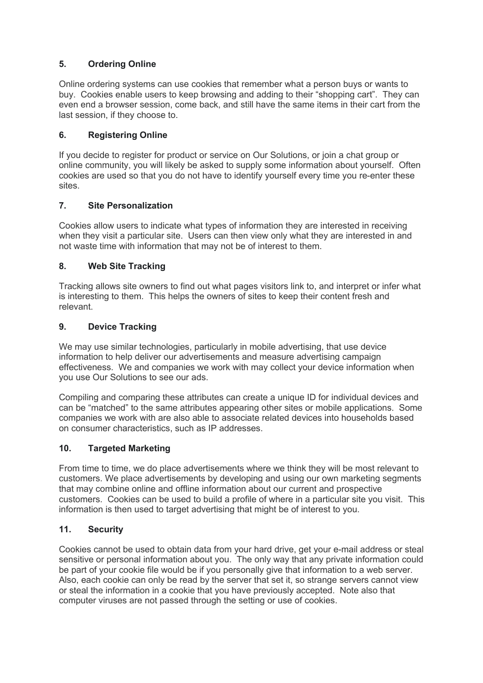# **5. Ordering Online**

Online ordering systems can use cookies that remember what a person buys or wants to buy. Cookies enable users to keep browsing and adding to their "shopping cart". They can even end a browser session, come back, and still have the same items in their cart from the last session, if they choose to.

## **6. Registering Online**

If you decide to register for product or service on Our Solutions, or join a chat group or online community, you will likely be asked to supply some information about yourself. Often cookies are used so that you do not have to identify yourself every time you re-enter these sites.

## **7. Site Personalization**

Cookies allow users to indicate what types of information they are interested in receiving when they visit a particular site. Users can then view only what they are interested in and not waste time with information that may not be of interest to them.

## **8. Web Site Tracking**

Tracking allows site owners to find out what pages visitors link to, and interpret or infer what is interesting to them. This helps the owners of sites to keep their content fresh and relevant.

### **9. Device Tracking**

We may use similar technologies, particularly in mobile advertising, that use device information to help deliver our advertisements and measure advertising campaign effectiveness. We and companies we work with may collect your device information when you use Our Solutions to see our ads.

Compiling and comparing these attributes can create a unique ID for individual devices and can be "matched" to the same attributes appearing other sites or mobile applications. Some companies we work with are also able to associate related devices into households based on consumer characteristics, such as IP addresses.

### **10. Targeted Marketing**

From time to time, we do place advertisements where we think they will be most relevant to customers. We place advertisements by developing and using our own marketing segments that may combine online and offline information about our current and prospective customers. Cookies can be used to build a profile of where in a particular site you visit. This information is then used to target advertising that might be of interest to you.

### **11. Security**

Cookies cannot be used to obtain data from your hard drive, get your e-mail address or steal sensitive or personal information about you. The only way that any private information could be part of your cookie file would be if you personally give that information to a web server. Also, each cookie can only be read by the server that set it, so strange servers cannot view or steal the information in a cookie that you have previously accepted. Note also that computer viruses are not passed through the setting or use of cookies.